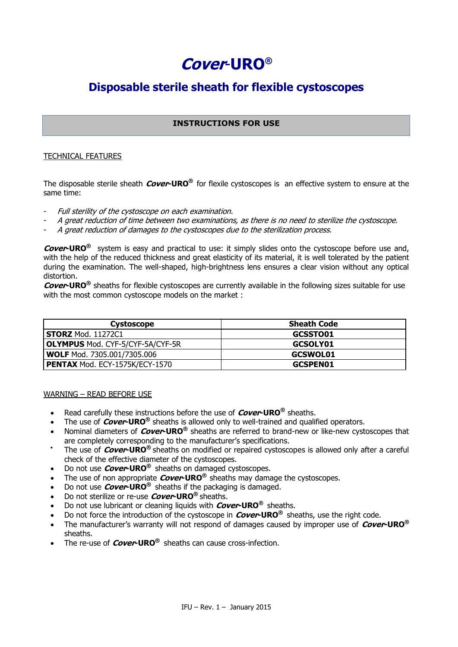# **Cover**-**URO®**

# **Disposable sterile sheath for flexible cystoscopes**

# **INSTRUCTIONS FOR USE**

# TECHNICAL FEATURES

The disposable sterile sheath **Cover-URO®** for flexile cystoscopes is an effective system to ensure at the same time:

- Full sterility of the cystoscope on each examination.
- A great reduction of time between two examinations, as there is no need to sterilize the cystoscope.
- A great reduction of damages to the cystoscopes due to the sterilization process.

**Cover-URO®** system is easy and practical to use: it simply slides onto the cystoscope before use and, with the help of the reduced thickness and great elasticity of its material, it is well tolerated by the patient during the examination. The well-shaped, high-brightness lens ensures a clear vision without any optical distortion.

**Cover-URO®** sheaths for flexible cystoscopes are currently available in the following sizes suitable for use with the most common cystoscope models on the market :

| Cystoscope                              | <b>Sheath Code</b> |
|-----------------------------------------|--------------------|
| <b>STORZ</b> Mod. 11272C1               | GCSSTO01           |
| <b>OLYMPUS Mod. CYF-5/CYF-5A/CYF-5R</b> | GCSOLY01           |
| <b>WOLF Mod. 7305.001/7305.006</b>      | <b>GCSWOL01</b>    |
| PENTAX Mod. ECY-1575K/ECY-1570          | <b>GCSPEN01</b>    |

#### WARNING – READ BEFORE USE

- Read carefully these instructions before the use of **Cover-URO®** sheaths.
- The use of **Cover-URO®** sheaths is allowed only to well-trained and qualified operators.
- Nominal diameters of **Cover-URO®** sheaths are referred to brand-new or like-new cystoscopes that are completely corresponding to the manufacturer's specifications.
- $\bullet$ The use of **Cover-URO®** sheaths on modified or repaired cystoscopes is allowed only after a careful check of the effective diameter of the cystoscopes.
- Do not use **Cover-URO®** sheaths on damaged cystoscopes.
- The use of non appropriate **Cover-URO®** sheaths may damage the cystoscopes.
- Do not use **Cover-URO®** sheaths if the packaging is damaged.
- Do not sterilize or re-use **Cover-URO®** sheaths.
- Do not use lubricant or cleaning liquids with **Cover-URO®** sheaths.
- Do not force the introduction of the cystoscope in **Cover-URO®** sheaths, use the right code.
- The manufacturer's warranty will not respond of damages caused by improper use of **Cover-URO®**  sheaths.
- The re-use of **Cover-URO®** sheaths can cause cross-infection.